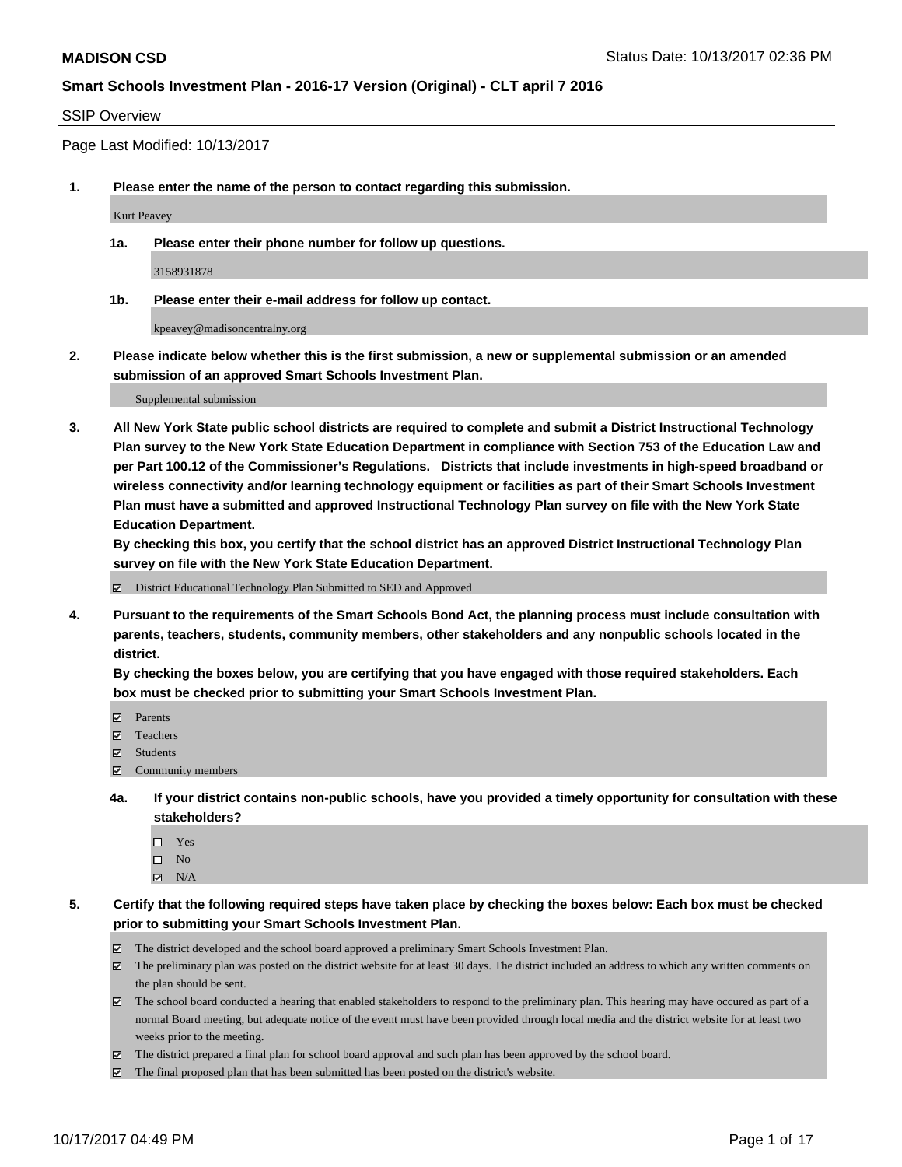#### SSIP Overview

Page Last Modified: 10/13/2017

**1. Please enter the name of the person to contact regarding this submission.**

Kurt Peavey

**1a. Please enter their phone number for follow up questions.**

3158931878

**1b. Please enter their e-mail address for follow up contact.**

kpeavey@madisoncentralny.org

**2. Please indicate below whether this is the first submission, a new or supplemental submission or an amended submission of an approved Smart Schools Investment Plan.**

Supplemental submission

**3. All New York State public school districts are required to complete and submit a District Instructional Technology Plan survey to the New York State Education Department in compliance with Section 753 of the Education Law and per Part 100.12 of the Commissioner's Regulations. Districts that include investments in high-speed broadband or wireless connectivity and/or learning technology equipment or facilities as part of their Smart Schools Investment Plan must have a submitted and approved Instructional Technology Plan survey on file with the New York State Education Department.** 

**By checking this box, you certify that the school district has an approved District Instructional Technology Plan survey on file with the New York State Education Department.**

District Educational Technology Plan Submitted to SED and Approved

**4. Pursuant to the requirements of the Smart Schools Bond Act, the planning process must include consultation with parents, teachers, students, community members, other stakeholders and any nonpublic schools located in the district.** 

**By checking the boxes below, you are certifying that you have engaged with those required stakeholders. Each box must be checked prior to submitting your Smart Schools Investment Plan.**

- **Parents**
- Teachers
- **☑** Students
- $\Xi$  Community members
- **4a. If your district contains non-public schools, have you provided a timely opportunity for consultation with these stakeholders?**
	- □ Yes
	- $\square$  No
	- $\boxtimes$  N/A

**5. Certify that the following required steps have taken place by checking the boxes below: Each box must be checked prior to submitting your Smart Schools Investment Plan.**

- The district developed and the school board approved a preliminary Smart Schools Investment Plan.
- The preliminary plan was posted on the district website for at least 30 days. The district included an address to which any written comments on the plan should be sent.
- The school board conducted a hearing that enabled stakeholders to respond to the preliminary plan. This hearing may have occured as part of a normal Board meeting, but adequate notice of the event must have been provided through local media and the district website for at least two weeks prior to the meeting.
- The district prepared a final plan for school board approval and such plan has been approved by the school board.
- $\boxtimes$  The final proposed plan that has been submitted has been posted on the district's website.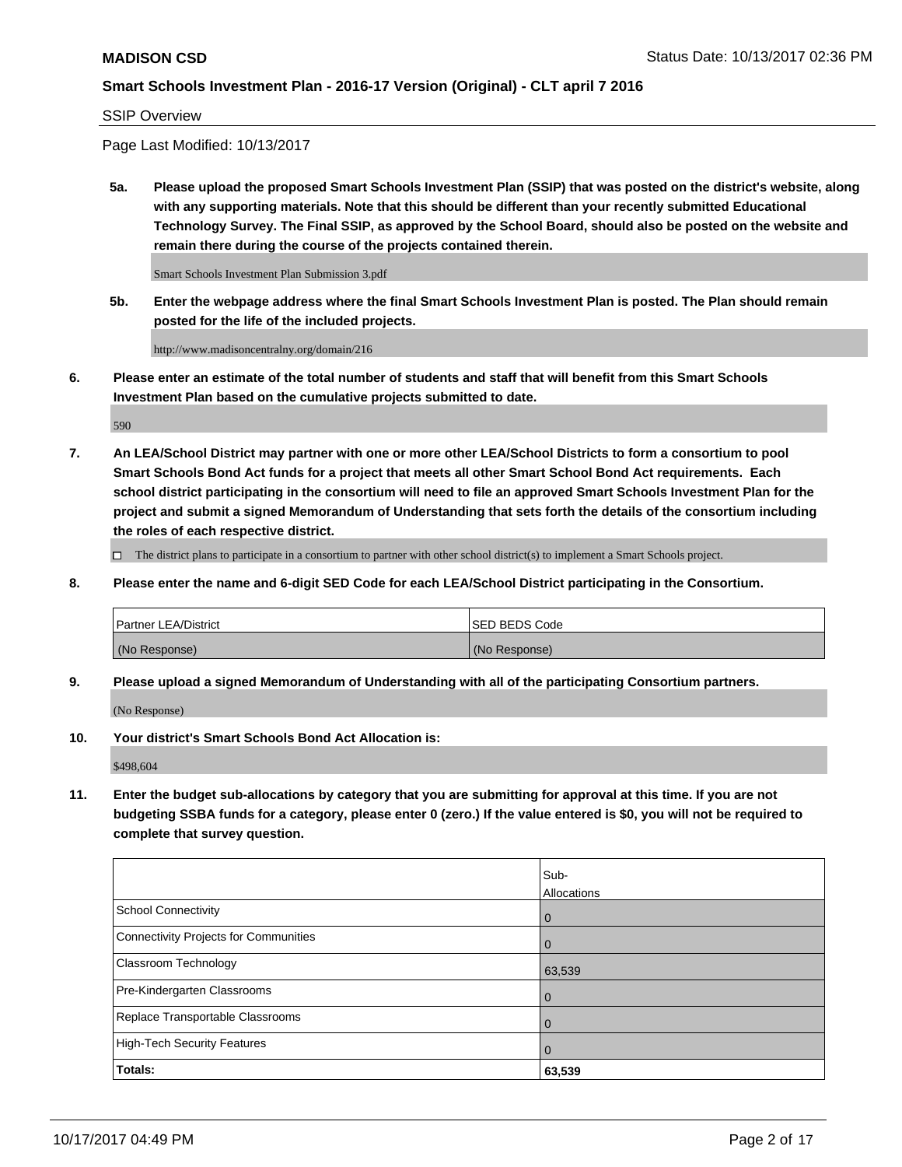SSIP Overview

Page Last Modified: 10/13/2017

**5a. Please upload the proposed Smart Schools Investment Plan (SSIP) that was posted on the district's website, along with any supporting materials. Note that this should be different than your recently submitted Educational Technology Survey. The Final SSIP, as approved by the School Board, should also be posted on the website and remain there during the course of the projects contained therein.**

Smart Schools Investment Plan Submission 3.pdf

**5b. Enter the webpage address where the final Smart Schools Investment Plan is posted. The Plan should remain posted for the life of the included projects.**

http://www.madisoncentralny.org/domain/216

**6. Please enter an estimate of the total number of students and staff that will benefit from this Smart Schools Investment Plan based on the cumulative projects submitted to date.**

590

**7. An LEA/School District may partner with one or more other LEA/School Districts to form a consortium to pool Smart Schools Bond Act funds for a project that meets all other Smart School Bond Act requirements. Each school district participating in the consortium will need to file an approved Smart Schools Investment Plan for the project and submit a signed Memorandum of Understanding that sets forth the details of the consortium including the roles of each respective district.**

 $\Box$  The district plans to participate in a consortium to partner with other school district(s) to implement a Smart Schools project.

**8. Please enter the name and 6-digit SED Code for each LEA/School District participating in the Consortium.**

| <b>Partner LEA/District</b> | <b>ISED BEDS Code</b> |
|-----------------------------|-----------------------|
| (No Response)               | (No Response)         |

**9. Please upload a signed Memorandum of Understanding with all of the participating Consortium partners.**

(No Response)

**10. Your district's Smart Schools Bond Act Allocation is:**

\$498,604

**11. Enter the budget sub-allocations by category that you are submitting for approval at this time. If you are not budgeting SSBA funds for a category, please enter 0 (zero.) If the value entered is \$0, you will not be required to complete that survey question.**

|                                              | Sub-<br>Allocations |
|----------------------------------------------|---------------------|
| <b>School Connectivity</b>                   | $\overline{0}$      |
| <b>Connectivity Projects for Communities</b> | $\overline{0}$      |
| Classroom Technology                         | 63,539              |
| Pre-Kindergarten Classrooms                  | $\overline{0}$      |
| Replace Transportable Classrooms             | $\mathbf 0$         |
| <b>High-Tech Security Features</b>           | $\overline{0}$      |
| Totals:                                      | 63,539              |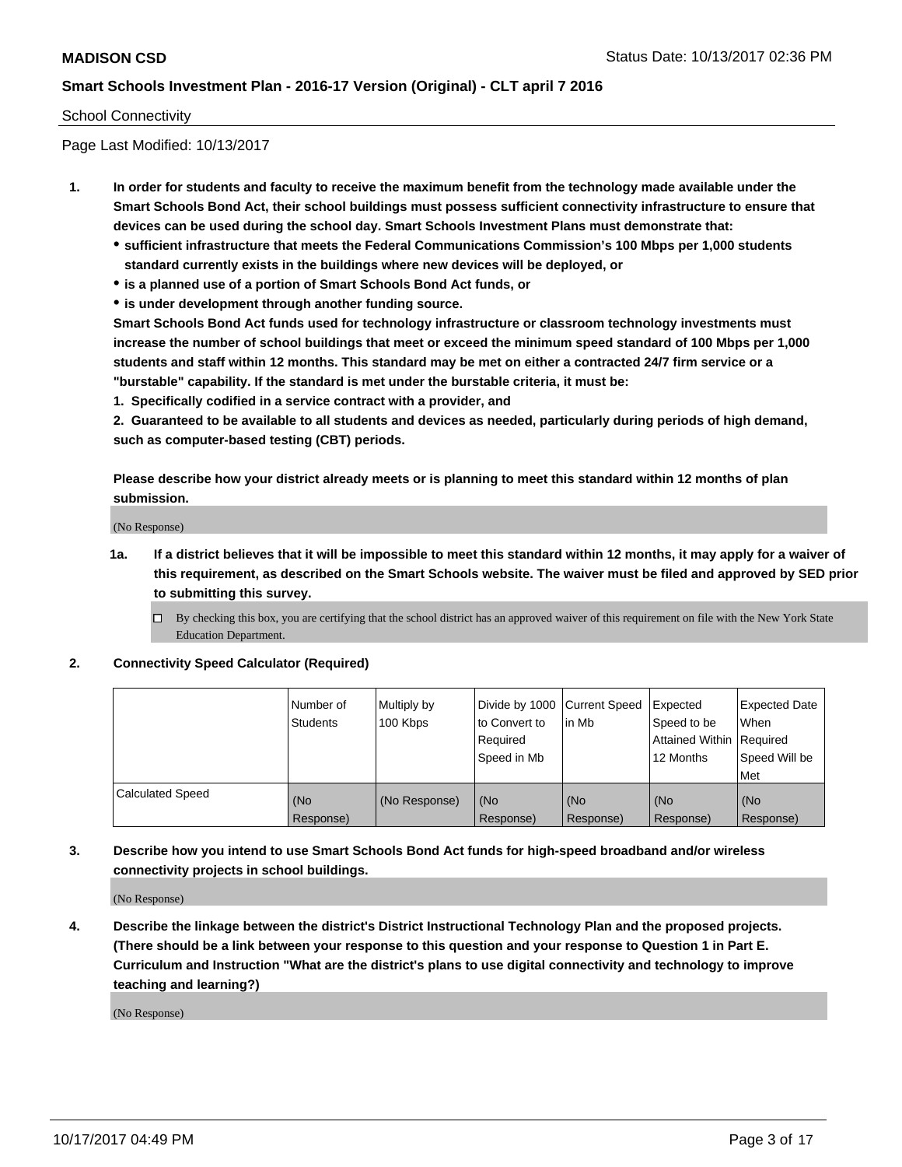#### School Connectivity

Page Last Modified: 10/13/2017

- **1. In order for students and faculty to receive the maximum benefit from the technology made available under the Smart Schools Bond Act, their school buildings must possess sufficient connectivity infrastructure to ensure that devices can be used during the school day. Smart Schools Investment Plans must demonstrate that:**
	- **sufficient infrastructure that meets the Federal Communications Commission's 100 Mbps per 1,000 students standard currently exists in the buildings where new devices will be deployed, or**
	- **is a planned use of a portion of Smart Schools Bond Act funds, or**
	- **is under development through another funding source.**

**Smart Schools Bond Act funds used for technology infrastructure or classroom technology investments must increase the number of school buildings that meet or exceed the minimum speed standard of 100 Mbps per 1,000 students and staff within 12 months. This standard may be met on either a contracted 24/7 firm service or a "burstable" capability. If the standard is met under the burstable criteria, it must be:**

**1. Specifically codified in a service contract with a provider, and**

**2. Guaranteed to be available to all students and devices as needed, particularly during periods of high demand, such as computer-based testing (CBT) periods.**

**Please describe how your district already meets or is planning to meet this standard within 12 months of plan submission.**

(No Response)

**1a. If a district believes that it will be impossible to meet this standard within 12 months, it may apply for a waiver of this requirement, as described on the Smart Schools website. The waiver must be filed and approved by SED prior to submitting this survey.**

**2. Connectivity Speed Calculator (Required)**

|                         | l Number of<br>Students | Multiply by<br>100 Kbps | Divide by 1000 Current Speed<br>to Convert to<br>Required<br>Speed in Mb | lin Mb           | Expected<br>Speed to be<br>Attained Within Required<br>12 Months | <b>Expected Date</b><br>When<br>Speed Will be<br>Met |
|-------------------------|-------------------------|-------------------------|--------------------------------------------------------------------------|------------------|------------------------------------------------------------------|------------------------------------------------------|
| <b>Calculated Speed</b> | (No<br>Response)        | (No Response)           | (No<br>Response)                                                         | (No<br>Response) | (No<br>Response)                                                 | (No<br>Response)                                     |

**3. Describe how you intend to use Smart Schools Bond Act funds for high-speed broadband and/or wireless connectivity projects in school buildings.**

(No Response)

**4. Describe the linkage between the district's District Instructional Technology Plan and the proposed projects. (There should be a link between your response to this question and your response to Question 1 in Part E. Curriculum and Instruction "What are the district's plans to use digital connectivity and technology to improve teaching and learning?)**

(No Response)

 $\Box$  By checking this box, you are certifying that the school district has an approved waiver of this requirement on file with the New York State Education Department.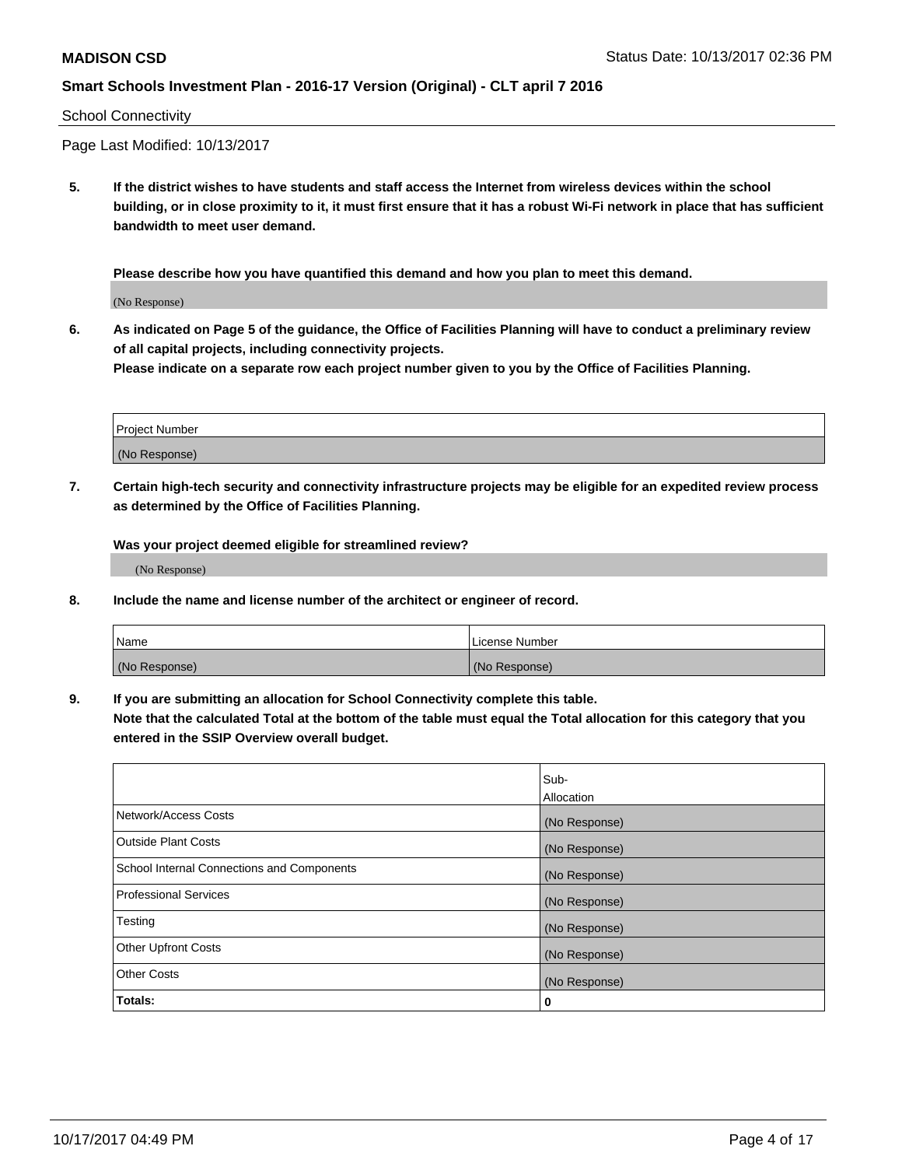#### School Connectivity

Page Last Modified: 10/13/2017

**5. If the district wishes to have students and staff access the Internet from wireless devices within the school building, or in close proximity to it, it must first ensure that it has a robust Wi-Fi network in place that has sufficient bandwidth to meet user demand.**

**Please describe how you have quantified this demand and how you plan to meet this demand.**

(No Response)

**6. As indicated on Page 5 of the guidance, the Office of Facilities Planning will have to conduct a preliminary review of all capital projects, including connectivity projects.**

**Please indicate on a separate row each project number given to you by the Office of Facilities Planning.**

| Project Number |  |
|----------------|--|
|                |  |
| (No Response)  |  |

**7. Certain high-tech security and connectivity infrastructure projects may be eligible for an expedited review process as determined by the Office of Facilities Planning.**

**Was your project deemed eligible for streamlined review?**

(No Response)

**8. Include the name and license number of the architect or engineer of record.**

| Name          | License Number |
|---------------|----------------|
| (No Response) | (No Response)  |

**9. If you are submitting an allocation for School Connectivity complete this table.**

**Note that the calculated Total at the bottom of the table must equal the Total allocation for this category that you entered in the SSIP Overview overall budget.** 

|                                            | Sub-          |
|--------------------------------------------|---------------|
|                                            | Allocation    |
| Network/Access Costs                       | (No Response) |
| <b>Outside Plant Costs</b>                 | (No Response) |
| School Internal Connections and Components | (No Response) |
| <b>Professional Services</b>               | (No Response) |
| Testing                                    | (No Response) |
| <b>Other Upfront Costs</b>                 | (No Response) |
| <b>Other Costs</b>                         | (No Response) |
| Totals:                                    | 0             |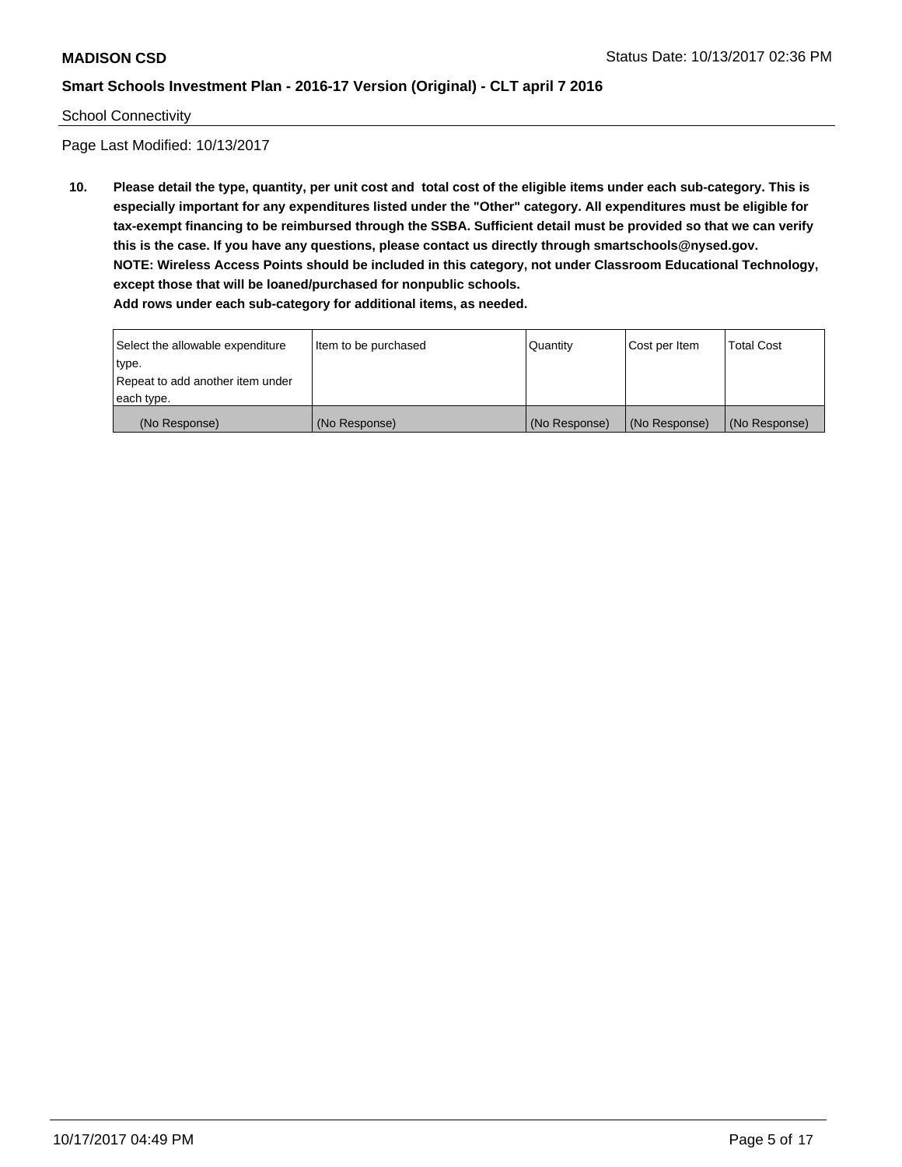#### School Connectivity

Page Last Modified: 10/13/2017

**10. Please detail the type, quantity, per unit cost and total cost of the eligible items under each sub-category. This is especially important for any expenditures listed under the "Other" category. All expenditures must be eligible for tax-exempt financing to be reimbursed through the SSBA. Sufficient detail must be provided so that we can verify this is the case. If you have any questions, please contact us directly through smartschools@nysed.gov. NOTE: Wireless Access Points should be included in this category, not under Classroom Educational Technology, except those that will be loaned/purchased for nonpublic schools. Add rows under each sub-category for additional items, as needed.**

Select the allowable expenditure type. Repeat to add another item under each type. Item to be purchased  $\sqrt{$  Quantity  $\sqrt{}$  Cost per Item  $\sqrt{}$  Total Cost (No Response) (No Response) (No Response) (No Response) (No Response)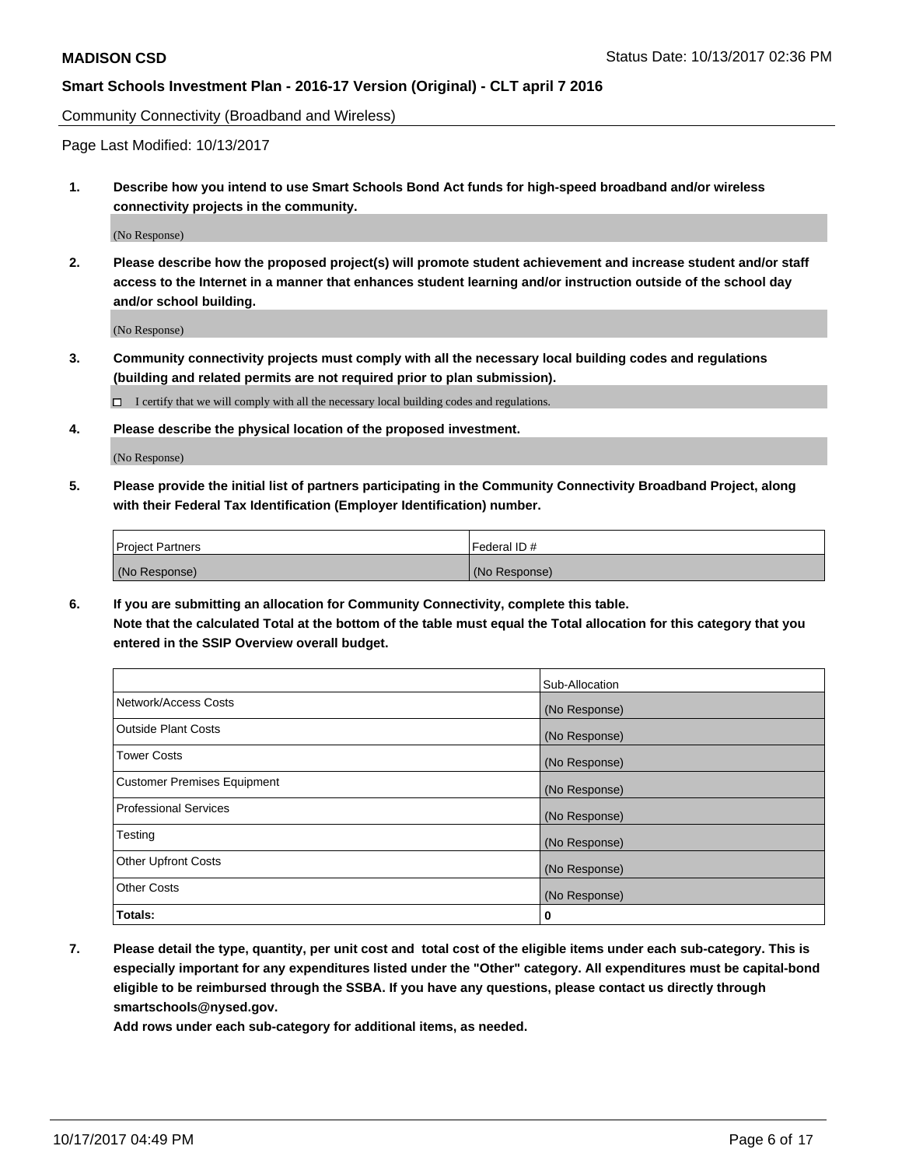Community Connectivity (Broadband and Wireless)

Page Last Modified: 10/13/2017

**1. Describe how you intend to use Smart Schools Bond Act funds for high-speed broadband and/or wireless connectivity projects in the community.**

(No Response)

**2. Please describe how the proposed project(s) will promote student achievement and increase student and/or staff access to the Internet in a manner that enhances student learning and/or instruction outside of the school day and/or school building.**

(No Response)

- **3. Community connectivity projects must comply with all the necessary local building codes and regulations (building and related permits are not required prior to plan submission).**
	- $\Box$  I certify that we will comply with all the necessary local building codes and regulations.
- **4. Please describe the physical location of the proposed investment.**

(No Response)

**5. Please provide the initial list of partners participating in the Community Connectivity Broadband Project, along with their Federal Tax Identification (Employer Identification) number.**

| <b>Project Partners</b> | l Federal ID # |
|-------------------------|----------------|
| (No Response)           | (No Response)  |

**6. If you are submitting an allocation for Community Connectivity, complete this table. Note that the calculated Total at the bottom of the table must equal the Total allocation for this category that you entered in the SSIP Overview overall budget.**

|                                    | Sub-Allocation |
|------------------------------------|----------------|
| Network/Access Costs               | (No Response)  |
| <b>Outside Plant Costs</b>         | (No Response)  |
| <b>Tower Costs</b>                 | (No Response)  |
| <b>Customer Premises Equipment</b> | (No Response)  |
| <b>Professional Services</b>       | (No Response)  |
| Testing                            | (No Response)  |
| <b>Other Upfront Costs</b>         | (No Response)  |
| <b>Other Costs</b>                 | (No Response)  |
| Totals:                            | 0              |

**7. Please detail the type, quantity, per unit cost and total cost of the eligible items under each sub-category. This is especially important for any expenditures listed under the "Other" category. All expenditures must be capital-bond eligible to be reimbursed through the SSBA. If you have any questions, please contact us directly through smartschools@nysed.gov.**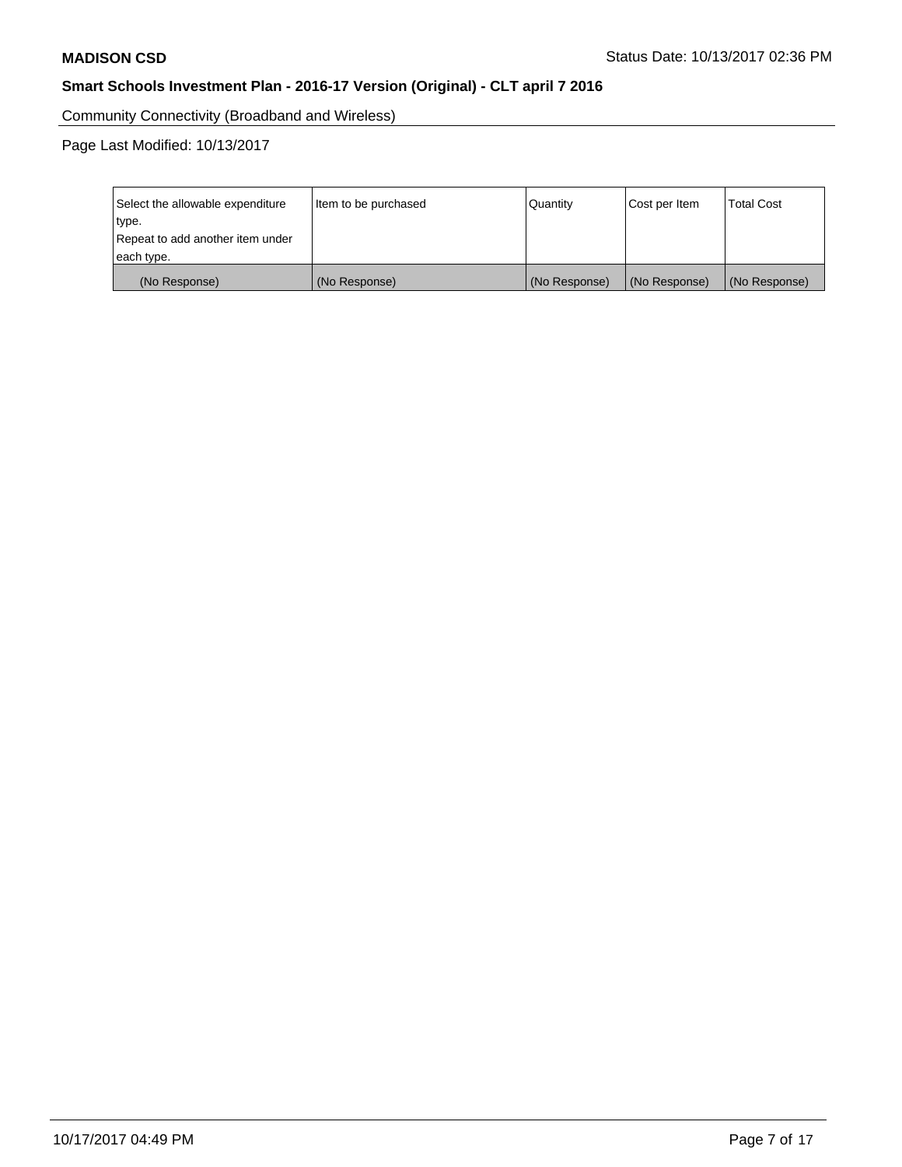Community Connectivity (Broadband and Wireless)

Page Last Modified: 10/13/2017

| Select the allowable expenditure<br>type.<br>Repeat to add another item under | Item to be purchased | Quantity      | Cost per Item | <b>Total Cost</b> |
|-------------------------------------------------------------------------------|----------------------|---------------|---------------|-------------------|
| each type.                                                                    |                      |               |               |                   |
| (No Response)                                                                 | (No Response)        | (No Response) | (No Response) | (No Response)     |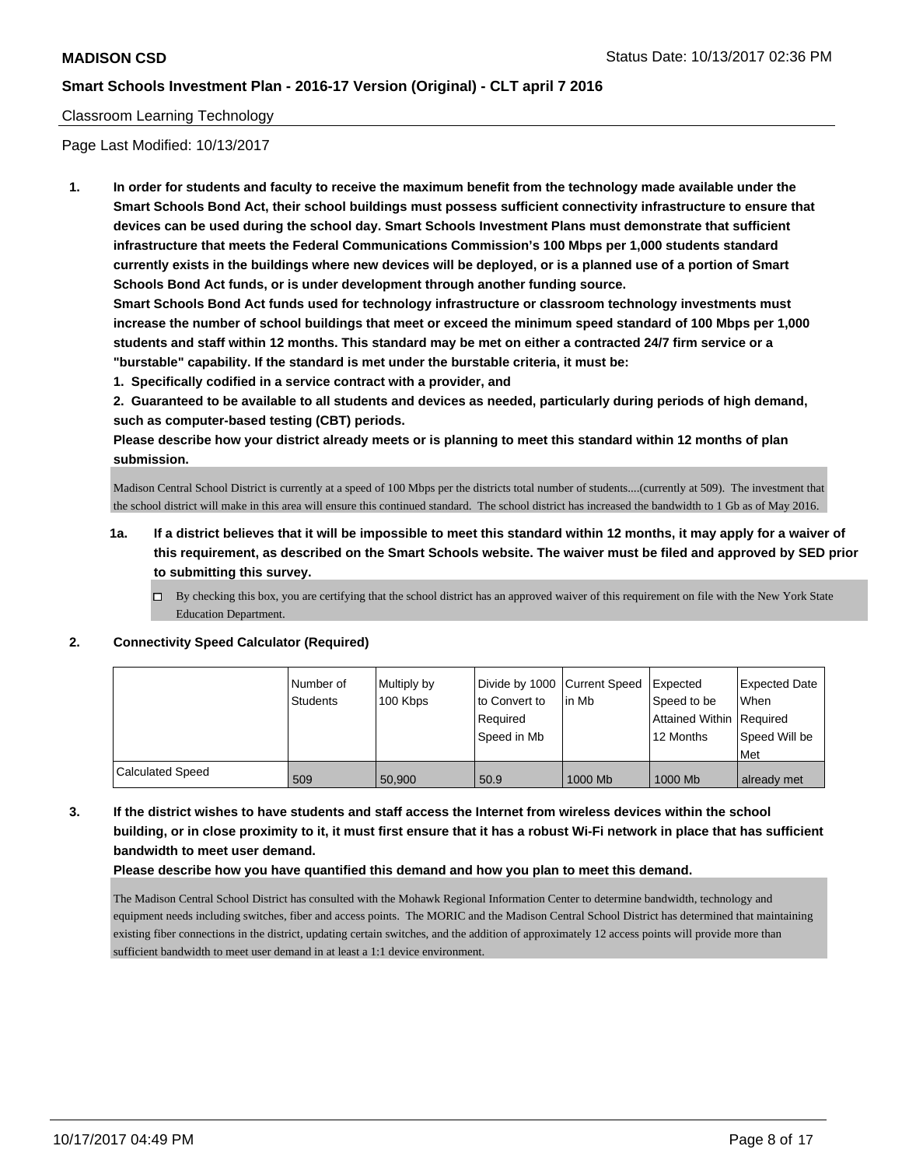#### Classroom Learning Technology

Page Last Modified: 10/13/2017

**1. In order for students and faculty to receive the maximum benefit from the technology made available under the Smart Schools Bond Act, their school buildings must possess sufficient connectivity infrastructure to ensure that devices can be used during the school day. Smart Schools Investment Plans must demonstrate that sufficient infrastructure that meets the Federal Communications Commission's 100 Mbps per 1,000 students standard currently exists in the buildings where new devices will be deployed, or is a planned use of a portion of Smart Schools Bond Act funds, or is under development through another funding source.**

**Smart Schools Bond Act funds used for technology infrastructure or classroom technology investments must increase the number of school buildings that meet or exceed the minimum speed standard of 100 Mbps per 1,000 students and staff within 12 months. This standard may be met on either a contracted 24/7 firm service or a "burstable" capability. If the standard is met under the burstable criteria, it must be:**

**1. Specifically codified in a service contract with a provider, and**

**2. Guaranteed to be available to all students and devices as needed, particularly during periods of high demand, such as computer-based testing (CBT) periods.**

**Please describe how your district already meets or is planning to meet this standard within 12 months of plan submission.**

Madison Central School District is currently at a speed of 100 Mbps per the districts total number of students....(currently at 509). The investment that the school district will make in this area will ensure this continued standard. The school district has increased the bandwidth to 1 Gb as of May 2016.

- **1a. If a district believes that it will be impossible to meet this standard within 12 months, it may apply for a waiver of this requirement, as described on the Smart Schools website. The waiver must be filed and approved by SED prior to submitting this survey.**
	- $\Box$  By checking this box, you are certifying that the school district has an approved waiver of this requirement on file with the New York State Education Department.

#### **2. Connectivity Speed Calculator (Required)**

|                         | Number of<br>Students | Multiply by<br>100 Kbps | Divide by 1000 Current Speed Expected<br>to Convert to<br>Required<br>Speed in Mb | lin Mb  | Speed to be<br>Attained Within Required<br>12 Months | <b>Expected Date</b><br>When<br>Speed Will be<br>l Met |
|-------------------------|-----------------------|-------------------------|-----------------------------------------------------------------------------------|---------|------------------------------------------------------|--------------------------------------------------------|
| <b>Calculated Speed</b> | 509                   | 50,900                  | 50.9                                                                              | 1000 Mb | 1000 Mb                                              | already met                                            |

**3. If the district wishes to have students and staff access the Internet from wireless devices within the school building, or in close proximity to it, it must first ensure that it has a robust Wi-Fi network in place that has sufficient bandwidth to meet user demand.**

**Please describe how you have quantified this demand and how you plan to meet this demand.**

The Madison Central School District has consulted with the Mohawk Regional Information Center to determine bandwidth, technology and equipment needs including switches, fiber and access points. The MORIC and the Madison Central School District has determined that maintaining existing fiber connections in the district, updating certain switches, and the addition of approximately 12 access points will provide more than sufficient bandwidth to meet user demand in at least a 1:1 device environment.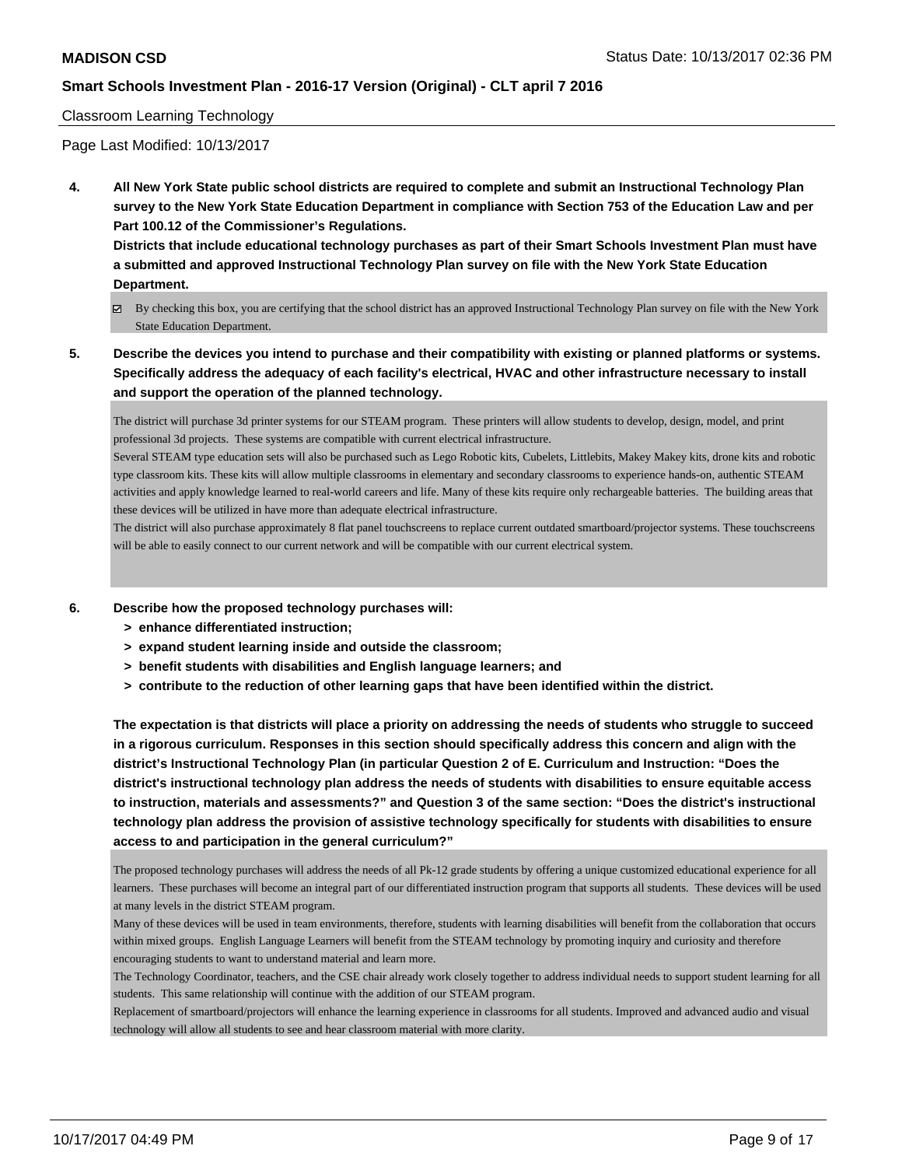#### Classroom Learning Technology

Page Last Modified: 10/13/2017

**4. All New York State public school districts are required to complete and submit an Instructional Technology Plan survey to the New York State Education Department in compliance with Section 753 of the Education Law and per Part 100.12 of the Commissioner's Regulations.**

**Districts that include educational technology purchases as part of their Smart Schools Investment Plan must have a submitted and approved Instructional Technology Plan survey on file with the New York State Education Department.**

- By checking this box, you are certifying that the school district has an approved Instructional Technology Plan survey on file with the New York State Education Department.
- **5. Describe the devices you intend to purchase and their compatibility with existing or planned platforms or systems. Specifically address the adequacy of each facility's electrical, HVAC and other infrastructure necessary to install and support the operation of the planned technology.**

The district will purchase 3d printer systems for our STEAM program. These printers will allow students to develop, design, model, and print professional 3d projects. These systems are compatible with current electrical infrastructure.

Several STEAM type education sets will also be purchased such as Lego Robotic kits, Cubelets, Littlebits, Makey Makey kits, drone kits and robotic type classroom kits. These kits will allow multiple classrooms in elementary and secondary classrooms to experience hands-on, authentic STEAM activities and apply knowledge learned to real-world careers and life. Many of these kits require only rechargeable batteries. The building areas that these devices will be utilized in have more than adequate electrical infrastructure.

The district will also purchase approximately 8 flat panel touchscreens to replace current outdated smartboard/projector systems. These touchscreens will be able to easily connect to our current network and will be compatible with our current electrical system.

- **6. Describe how the proposed technology purchases will:**
	- **> enhance differentiated instruction;**
	- **> expand student learning inside and outside the classroom;**
	- **> benefit students with disabilities and English language learners; and**
	- **> contribute to the reduction of other learning gaps that have been identified within the district.**

**The expectation is that districts will place a priority on addressing the needs of students who struggle to succeed in a rigorous curriculum. Responses in this section should specifically address this concern and align with the district's Instructional Technology Plan (in particular Question 2 of E. Curriculum and Instruction: "Does the district's instructional technology plan address the needs of students with disabilities to ensure equitable access to instruction, materials and assessments?" and Question 3 of the same section: "Does the district's instructional technology plan address the provision of assistive technology specifically for students with disabilities to ensure access to and participation in the general curriculum?"**

The proposed technology purchases will address the needs of all Pk-12 grade students by offering a unique customized educational experience for all learners. These purchases will become an integral part of our differentiated instruction program that supports all students. These devices will be used at many levels in the district STEAM program.

Many of these devices will be used in team environments, therefore, students with learning disabilities will benefit from the collaboration that occurs within mixed groups. English Language Learners will benefit from the STEAM technology by promoting inquiry and curiosity and therefore encouraging students to want to understand material and learn more.

The Technology Coordinator, teachers, and the CSE chair already work closely together to address individual needs to support student learning for all students. This same relationship will continue with the addition of our STEAM program.

Replacement of smartboard/projectors will enhance the learning experience in classrooms for all students. Improved and advanced audio and visual technology will allow all students to see and hear classroom material with more clarity.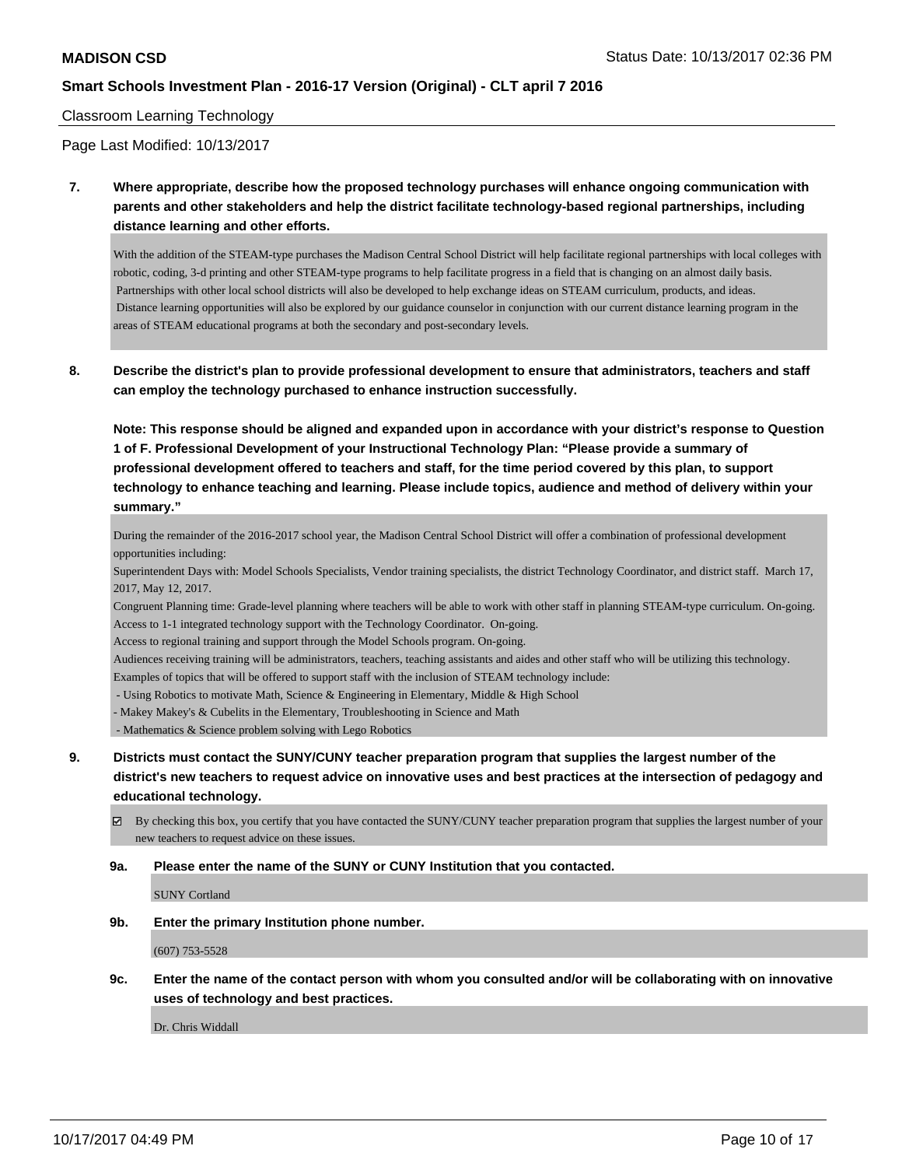#### Classroom Learning Technology

Page Last Modified: 10/13/2017

**7. Where appropriate, describe how the proposed technology purchases will enhance ongoing communication with parents and other stakeholders and help the district facilitate technology-based regional partnerships, including distance learning and other efforts.**

With the addition of the STEAM-type purchases the Madison Central School District will help facilitate regional partnerships with local colleges with robotic, coding, 3-d printing and other STEAM-type programs to help facilitate progress in a field that is changing on an almost daily basis. Partnerships with other local school districts will also be developed to help exchange ideas on STEAM curriculum, products, and ideas. Distance learning opportunities will also be explored by our guidance counselor in conjunction with our current distance learning program in the areas of STEAM educational programs at both the secondary and post-secondary levels.

**8. Describe the district's plan to provide professional development to ensure that administrators, teachers and staff can employ the technology purchased to enhance instruction successfully.**

**Note: This response should be aligned and expanded upon in accordance with your district's response to Question 1 of F. Professional Development of your Instructional Technology Plan: "Please provide a summary of professional development offered to teachers and staff, for the time period covered by this plan, to support technology to enhance teaching and learning. Please include topics, audience and method of delivery within your summary."**

During the remainder of the 2016-2017 school year, the Madison Central School District will offer a combination of professional development opportunities including:

Superintendent Days with: Model Schools Specialists, Vendor training specialists, the district Technology Coordinator, and district staff. March 17, 2017, May 12, 2017.

Congruent Planning time: Grade-level planning where teachers will be able to work with other staff in planning STEAM-type curriculum. On-going. Access to 1-1 integrated technology support with the Technology Coordinator. On-going.

Access to regional training and support through the Model Schools program. On-going.

Audiences receiving training will be administrators, teachers, teaching assistants and aides and other staff who will be utilizing this technology.

Examples of topics that will be offered to support staff with the inclusion of STEAM technology include:

- Using Robotics to motivate Math, Science & Engineering in Elementary, Middle & High School
- Makey Makey's & Cubelits in the Elementary, Troubleshooting in Science and Math

- Mathematics & Science problem solving with Lego Robotics

- **9. Districts must contact the SUNY/CUNY teacher preparation program that supplies the largest number of the district's new teachers to request advice on innovative uses and best practices at the intersection of pedagogy and educational technology.**
	- $\boxtimes$  By checking this box, you certify that you have contacted the SUNY/CUNY teacher preparation program that supplies the largest number of your new teachers to request advice on these issues.

#### **9a. Please enter the name of the SUNY or CUNY Institution that you contacted.**

SUNY Cortland

**9b. Enter the primary Institution phone number.**

(607) 753-5528

**9c. Enter the name of the contact person with whom you consulted and/or will be collaborating with on innovative uses of technology and best practices.**

Dr. Chris Widdall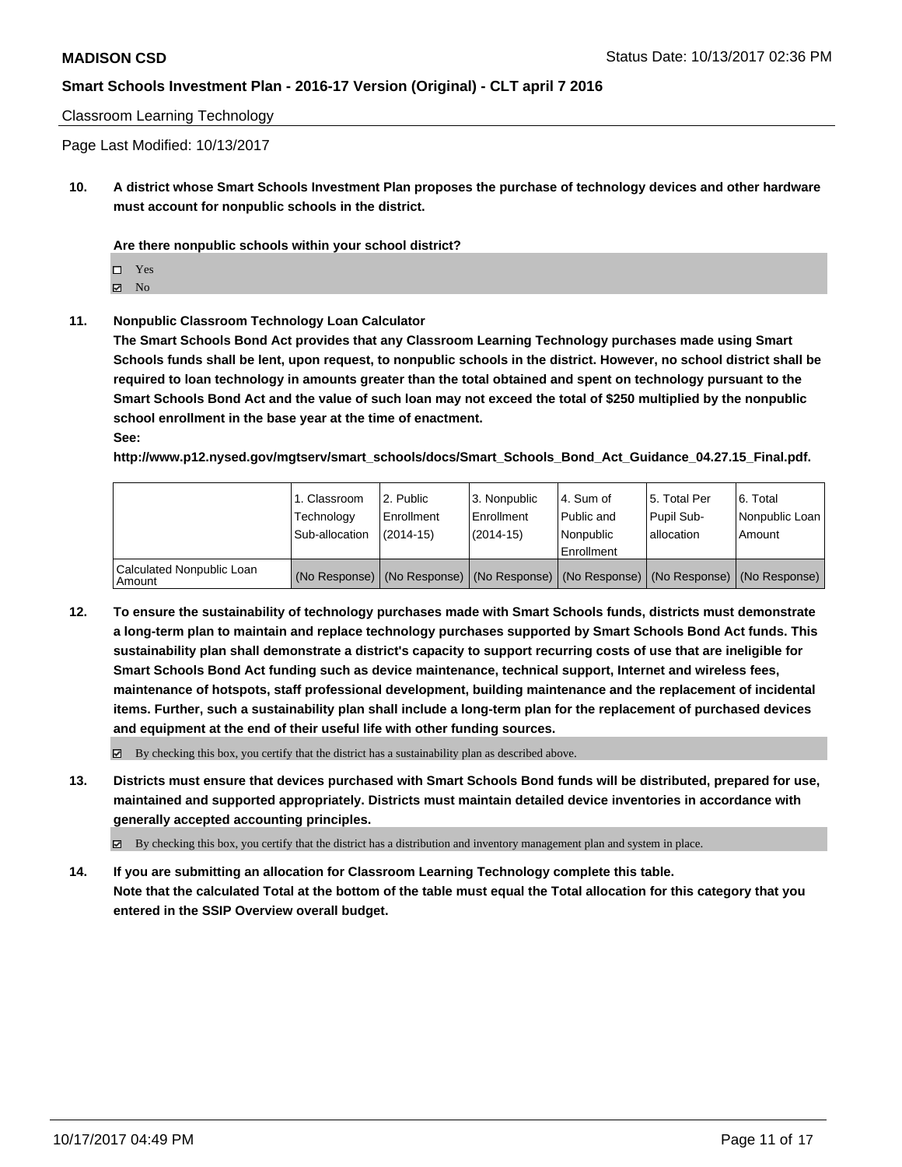Classroom Learning Technology

Page Last Modified: 10/13/2017

**10. A district whose Smart Schools Investment Plan proposes the purchase of technology devices and other hardware must account for nonpublic schools in the district.**

**Are there nonpublic schools within your school district?**

Yes

 $\boxtimes$  No

**11. Nonpublic Classroom Technology Loan Calculator**

**The Smart Schools Bond Act provides that any Classroom Learning Technology purchases made using Smart Schools funds shall be lent, upon request, to nonpublic schools in the district. However, no school district shall be required to loan technology in amounts greater than the total obtained and spent on technology pursuant to the Smart Schools Bond Act and the value of such loan may not exceed the total of \$250 multiplied by the nonpublic school enrollment in the base year at the time of enactment. See:**

**http://www.p12.nysed.gov/mgtserv/smart\_schools/docs/Smart\_Schools\_Bond\_Act\_Guidance\_04.27.15\_Final.pdf.**

|                                       | 1. Classroom<br>Technology<br>Sub-allocation | l 2. Public<br>Enrollment<br>$(2014-15)$ | 3. Nonpublic<br>l Enrollment<br>$(2014-15)$ | l 4. Sum of<br>Public and<br>Nonpublic<br>l Enrollment                                        | 15. Total Per<br>Pupil Sub-<br>lallocation | l 6. Total<br>Nonpublic Loan<br>Amount |
|---------------------------------------|----------------------------------------------|------------------------------------------|---------------------------------------------|-----------------------------------------------------------------------------------------------|--------------------------------------------|----------------------------------------|
| Calculated Nonpublic Loan<br>l Amount |                                              |                                          |                                             | (No Response)   (No Response)   (No Response)   (No Response)   (No Response)   (No Response) |                                            |                                        |

**12. To ensure the sustainability of technology purchases made with Smart Schools funds, districts must demonstrate a long-term plan to maintain and replace technology purchases supported by Smart Schools Bond Act funds. This sustainability plan shall demonstrate a district's capacity to support recurring costs of use that are ineligible for Smart Schools Bond Act funding such as device maintenance, technical support, Internet and wireless fees, maintenance of hotspots, staff professional development, building maintenance and the replacement of incidental items. Further, such a sustainability plan shall include a long-term plan for the replacement of purchased devices and equipment at the end of their useful life with other funding sources.**

 $\boxtimes$  By checking this box, you certify that the district has a sustainability plan as described above.

**13. Districts must ensure that devices purchased with Smart Schools Bond funds will be distributed, prepared for use, maintained and supported appropriately. Districts must maintain detailed device inventories in accordance with generally accepted accounting principles.**

By checking this box, you certify that the district has a distribution and inventory management plan and system in place.

**14. If you are submitting an allocation for Classroom Learning Technology complete this table. Note that the calculated Total at the bottom of the table must equal the Total allocation for this category that you entered in the SSIP Overview overall budget.**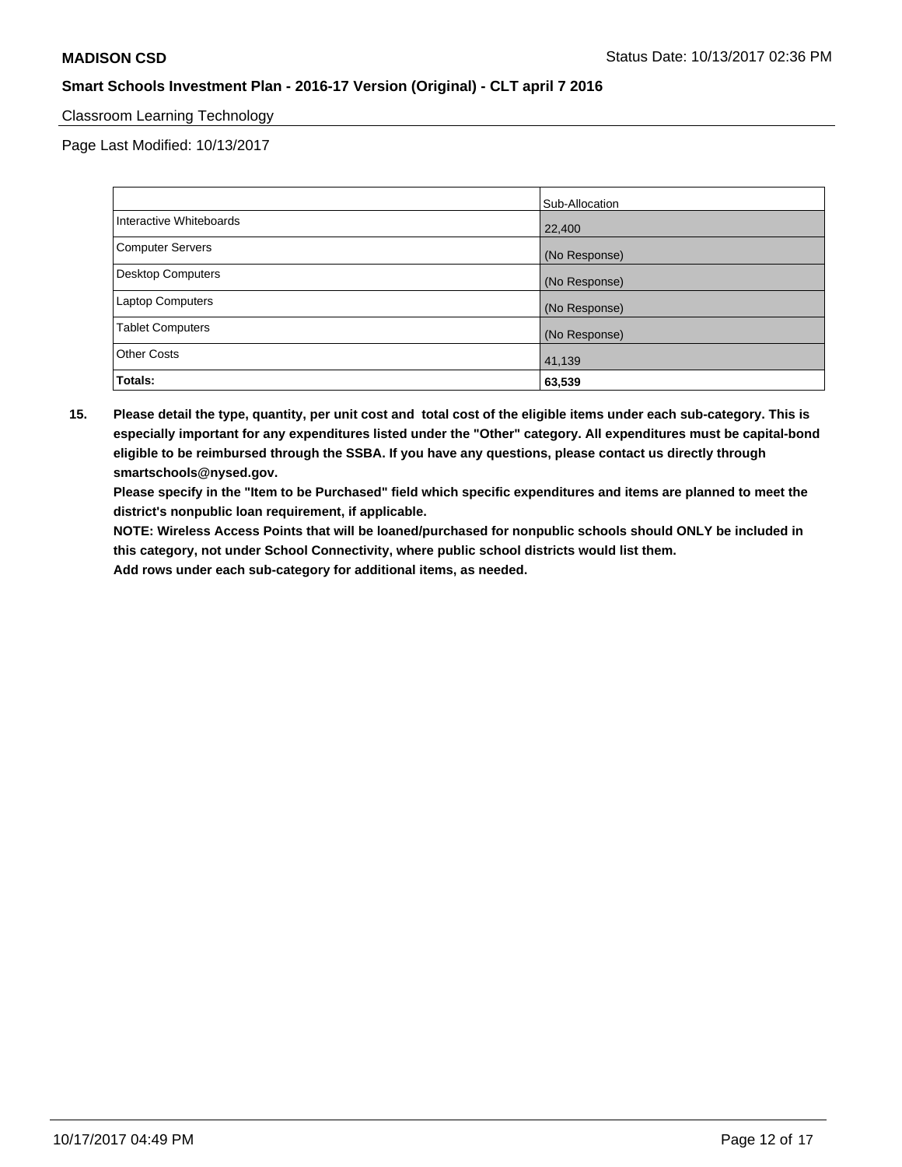### Classroom Learning Technology

Page Last Modified: 10/13/2017

|                         | Sub-Allocation |
|-------------------------|----------------|
| Interactive Whiteboards | 22,400         |
| Computer Servers        | (No Response)  |
| Desktop Computers       | (No Response)  |
| <b>Laptop Computers</b> | (No Response)  |
| <b>Tablet Computers</b> | (No Response)  |
| <b>Other Costs</b>      | 41,139         |
| Totals:                 | 63,539         |

**15. Please detail the type, quantity, per unit cost and total cost of the eligible items under each sub-category. This is especially important for any expenditures listed under the "Other" category. All expenditures must be capital-bond eligible to be reimbursed through the SSBA. If you have any questions, please contact us directly through smartschools@nysed.gov.**

**Please specify in the "Item to be Purchased" field which specific expenditures and items are planned to meet the district's nonpublic loan requirement, if applicable.**

**NOTE: Wireless Access Points that will be loaned/purchased for nonpublic schools should ONLY be included in this category, not under School Connectivity, where public school districts would list them.**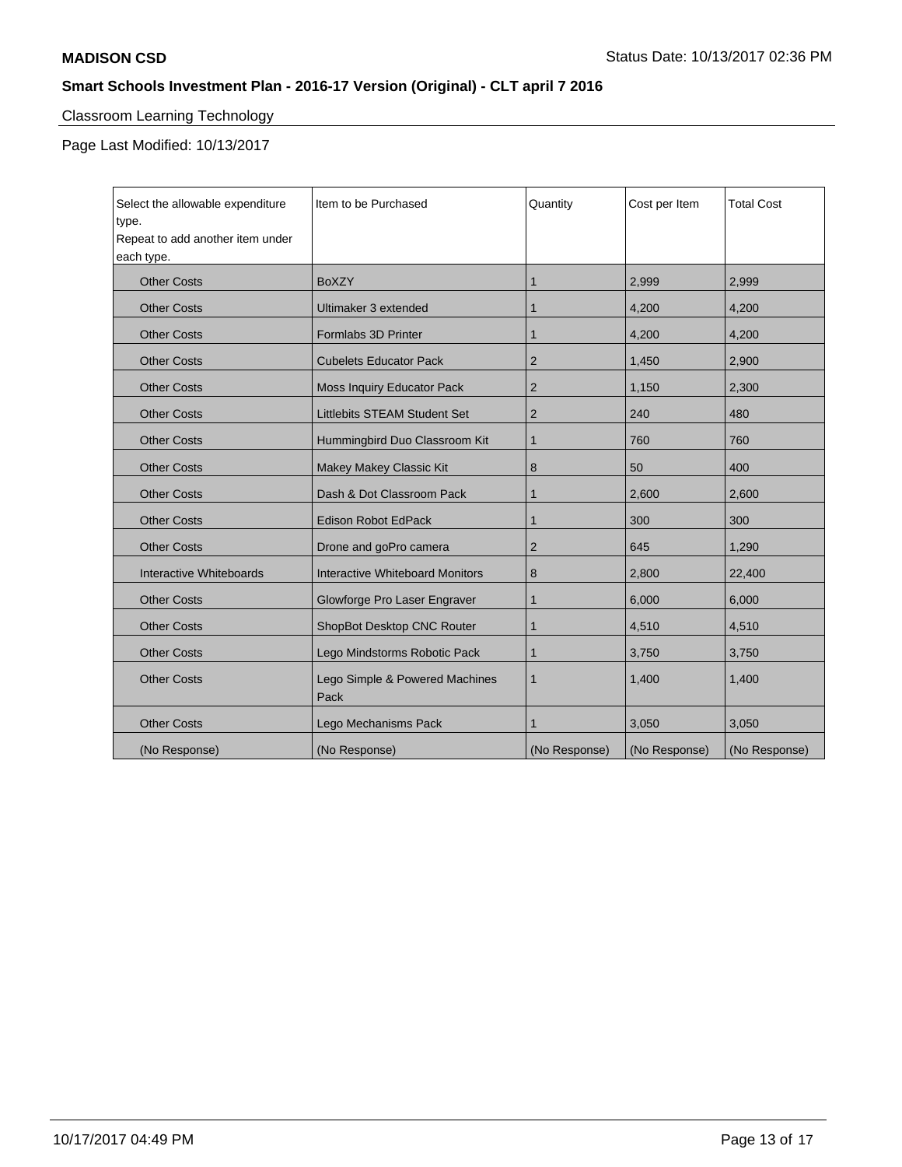# Classroom Learning Technology

Page Last Modified: 10/13/2017

| Select the allowable expenditure<br>type.<br>Repeat to add another item under<br>each type. | Item to be Purchased                   | Quantity       | Cost per Item | <b>Total Cost</b> |
|---------------------------------------------------------------------------------------------|----------------------------------------|----------------|---------------|-------------------|
| <b>Other Costs</b>                                                                          | <b>BoXZY</b>                           | 1              | 2,999         | 2,999             |
| <b>Other Costs</b>                                                                          | Ultimaker 3 extended                   | 1              | 4,200         | 4,200             |
| <b>Other Costs</b>                                                                          | Formlabs 3D Printer                    | 1              | 4.200         | 4,200             |
| <b>Other Costs</b>                                                                          | <b>Cubelets Educator Pack</b>          | $\overline{2}$ | 1,450         | 2,900             |
| <b>Other Costs</b>                                                                          | Moss Inquiry Educator Pack             | $\overline{2}$ | 1,150         | 2,300             |
| <b>Other Costs</b>                                                                          | <b>Littlebits STEAM Student Set</b>    | 2              | 240           | 480               |
| <b>Other Costs</b>                                                                          | Hummingbird Duo Classroom Kit          | 1              | 760           | 760               |
| <b>Other Costs</b>                                                                          | Makey Makey Classic Kit                | 8              | 50            | 400               |
| <b>Other Costs</b>                                                                          | Dash & Dot Classroom Pack              | 1              | 2.600         | 2,600             |
| <b>Other Costs</b>                                                                          | <b>Edison Robot EdPack</b>             | 1              | 300           | 300               |
| <b>Other Costs</b>                                                                          | Drone and goPro camera                 | $\overline{2}$ | 645           | 1.290             |
| Interactive Whiteboards                                                                     | <b>Interactive Whiteboard Monitors</b> | 8              | 2,800         | 22,400            |
| <b>Other Costs</b>                                                                          | Glowforge Pro Laser Engraver           | 1              | 6,000         | 6,000             |
| <b>Other Costs</b>                                                                          | ShopBot Desktop CNC Router             | 1              | 4,510         | 4,510             |
| <b>Other Costs</b>                                                                          | Lego Mindstorms Robotic Pack           | $\mathbf{1}$   | 3,750         | 3,750             |
| <b>Other Costs</b>                                                                          | Lego Simple & Powered Machines<br>Pack | $\mathbf 1$    | 1,400         | 1,400             |
| <b>Other Costs</b>                                                                          | Lego Mechanisms Pack                   | 1              | 3,050         | 3,050             |
| (No Response)                                                                               | (No Response)                          | (No Response)  | (No Response) | (No Response)     |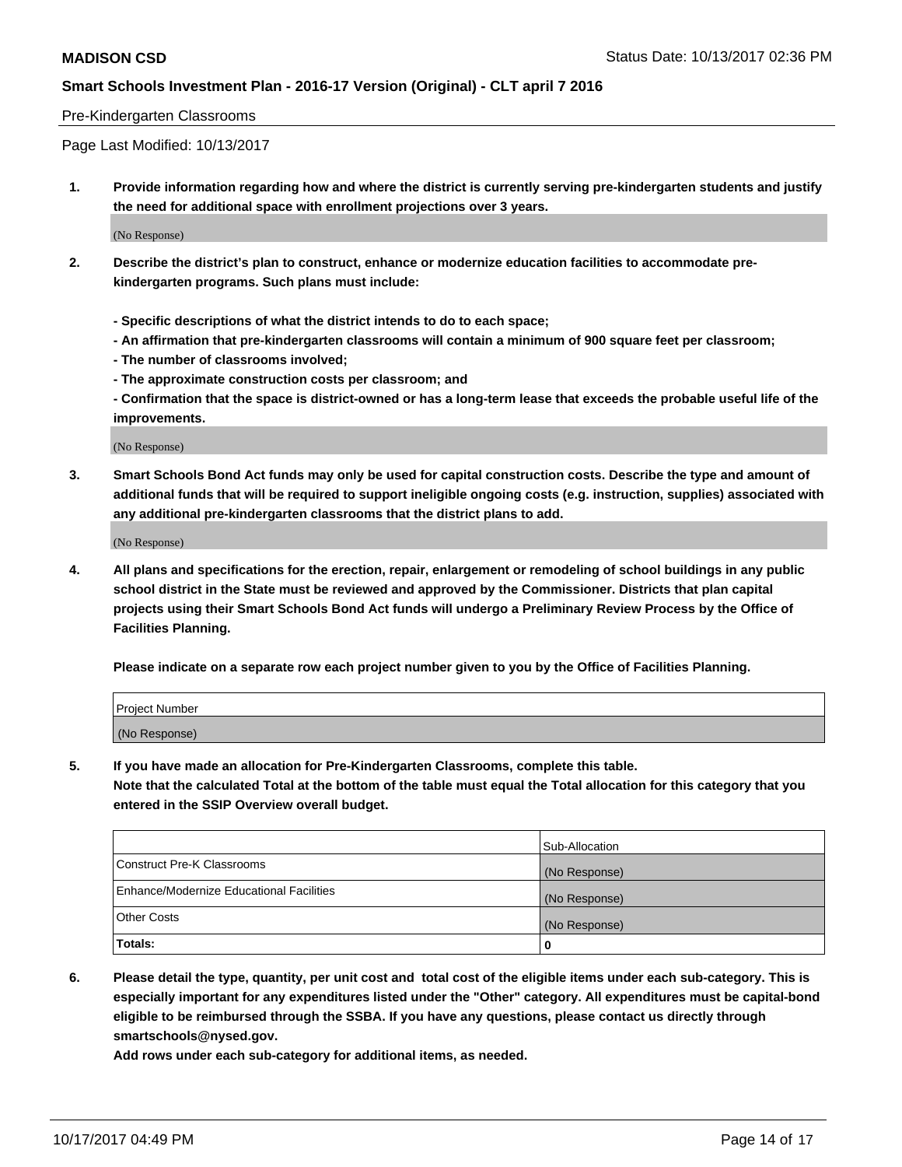#### Pre-Kindergarten Classrooms

Page Last Modified: 10/13/2017

**1. Provide information regarding how and where the district is currently serving pre-kindergarten students and justify the need for additional space with enrollment projections over 3 years.**

(No Response)

- **2. Describe the district's plan to construct, enhance or modernize education facilities to accommodate prekindergarten programs. Such plans must include:**
	- **Specific descriptions of what the district intends to do to each space;**
	- **An affirmation that pre-kindergarten classrooms will contain a minimum of 900 square feet per classroom;**
	- **The number of classrooms involved;**
	- **The approximate construction costs per classroom; and**
	- **Confirmation that the space is district-owned or has a long-term lease that exceeds the probable useful life of the improvements.**

(No Response)

**3. Smart Schools Bond Act funds may only be used for capital construction costs. Describe the type and amount of additional funds that will be required to support ineligible ongoing costs (e.g. instruction, supplies) associated with any additional pre-kindergarten classrooms that the district plans to add.**

(No Response)

**4. All plans and specifications for the erection, repair, enlargement or remodeling of school buildings in any public school district in the State must be reviewed and approved by the Commissioner. Districts that plan capital projects using their Smart Schools Bond Act funds will undergo a Preliminary Review Process by the Office of Facilities Planning.**

**Please indicate on a separate row each project number given to you by the Office of Facilities Planning.**

| Project Number |  |
|----------------|--|
| (No Response)  |  |

**5. If you have made an allocation for Pre-Kindergarten Classrooms, complete this table.**

**Note that the calculated Total at the bottom of the table must equal the Total allocation for this category that you entered in the SSIP Overview overall budget.**

|                                          | Sub-Allocation |
|------------------------------------------|----------------|
| Construct Pre-K Classrooms               | (No Response)  |
| Enhance/Modernize Educational Facilities | (No Response)  |
| <b>Other Costs</b>                       | (No Response)  |
| <b>Totals:</b>                           | 0              |

**6. Please detail the type, quantity, per unit cost and total cost of the eligible items under each sub-category. This is especially important for any expenditures listed under the "Other" category. All expenditures must be capital-bond eligible to be reimbursed through the SSBA. If you have any questions, please contact us directly through smartschools@nysed.gov.**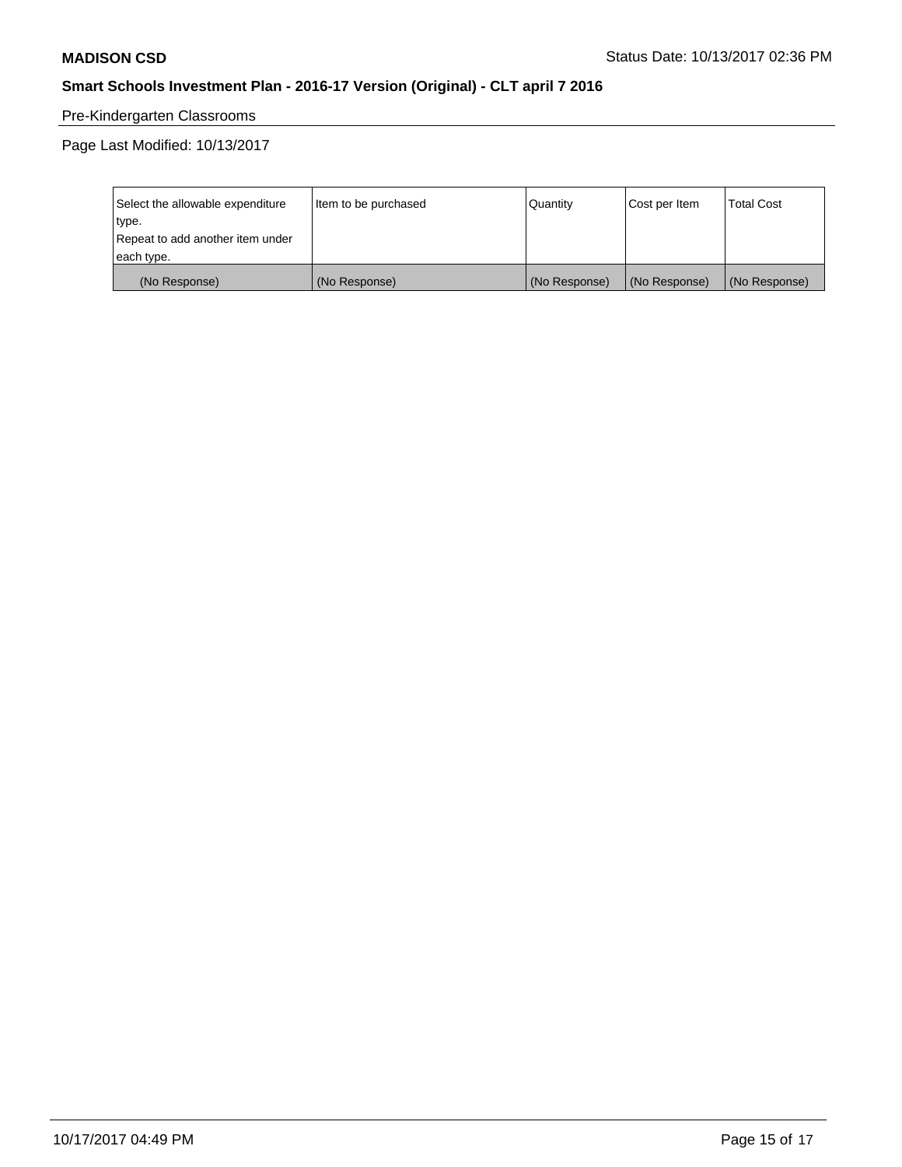# Pre-Kindergarten Classrooms

Page Last Modified: 10/13/2017

| Select the allowable expenditure | Item to be purchased | Quantity      | Cost per Item | <b>Total Cost</b> |
|----------------------------------|----------------------|---------------|---------------|-------------------|
| type.                            |                      |               |               |                   |
| Repeat to add another item under |                      |               |               |                   |
| each type.                       |                      |               |               |                   |
| (No Response)                    | (No Response)        | (No Response) | (No Response) | (No Response)     |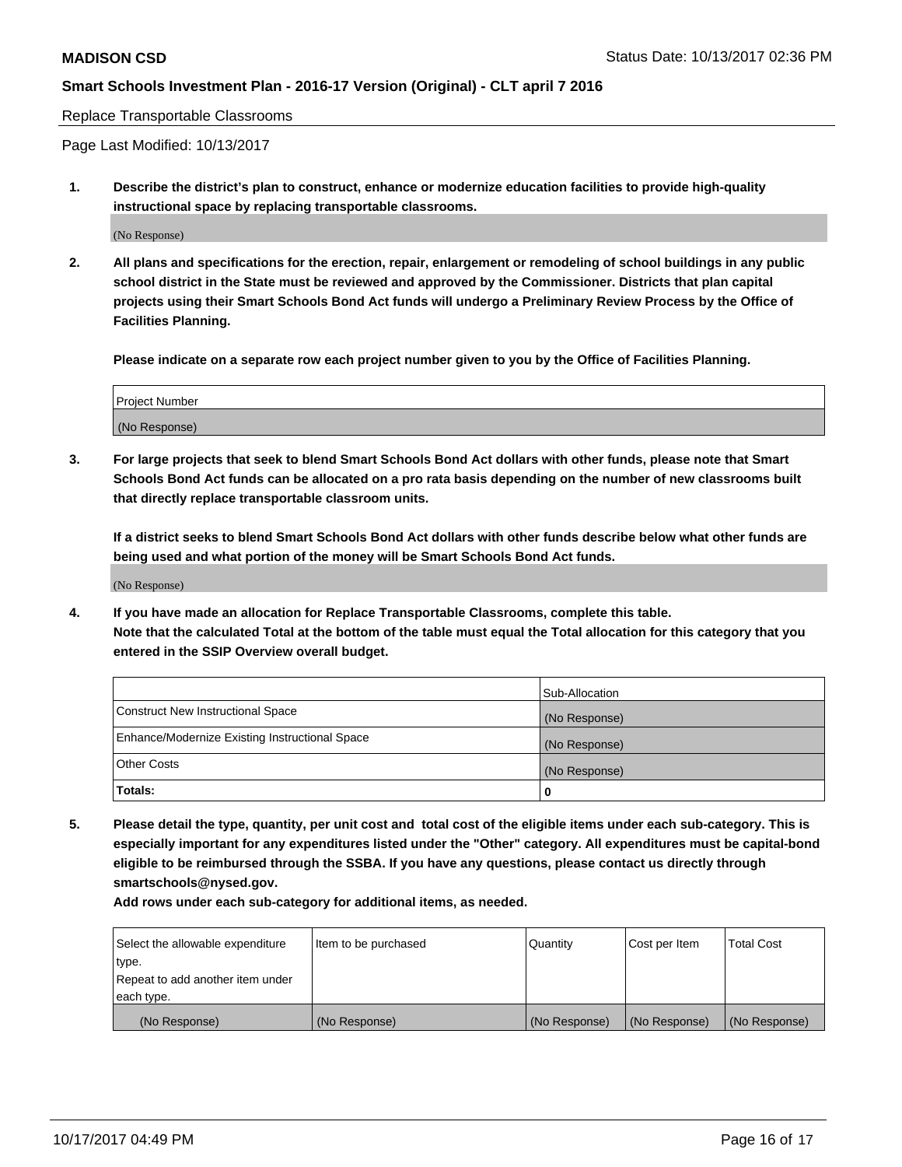Replace Transportable Classrooms

Page Last Modified: 10/13/2017

**1. Describe the district's plan to construct, enhance or modernize education facilities to provide high-quality instructional space by replacing transportable classrooms.**

(No Response)

**2. All plans and specifications for the erection, repair, enlargement or remodeling of school buildings in any public school district in the State must be reviewed and approved by the Commissioner. Districts that plan capital projects using their Smart Schools Bond Act funds will undergo a Preliminary Review Process by the Office of Facilities Planning.**

**Please indicate on a separate row each project number given to you by the Office of Facilities Planning.**

| <b>Project Number</b> |  |
|-----------------------|--|
| (No Response)         |  |

**3. For large projects that seek to blend Smart Schools Bond Act dollars with other funds, please note that Smart Schools Bond Act funds can be allocated on a pro rata basis depending on the number of new classrooms built that directly replace transportable classroom units.**

**If a district seeks to blend Smart Schools Bond Act dollars with other funds describe below what other funds are being used and what portion of the money will be Smart Schools Bond Act funds.**

(No Response)

**4. If you have made an allocation for Replace Transportable Classrooms, complete this table. Note that the calculated Total at the bottom of the table must equal the Total allocation for this category that you entered in the SSIP Overview overall budget.**

|                                                | Sub-Allocation |
|------------------------------------------------|----------------|
| Construct New Instructional Space              | (No Response)  |
| Enhance/Modernize Existing Instructional Space | (No Response)  |
| <b>Other Costs</b>                             | (No Response)  |
| Totals:                                        | 0              |

**5. Please detail the type, quantity, per unit cost and total cost of the eligible items under each sub-category. This is especially important for any expenditures listed under the "Other" category. All expenditures must be capital-bond eligible to be reimbursed through the SSBA. If you have any questions, please contact us directly through smartschools@nysed.gov.**

| Select the allowable expenditure | Item to be purchased | Quantity      | Cost per Item | <b>Total Cost</b> |
|----------------------------------|----------------------|---------------|---------------|-------------------|
| type.                            |                      |               |               |                   |
| Repeat to add another item under |                      |               |               |                   |
| each type.                       |                      |               |               |                   |
| (No Response)                    | (No Response)        | (No Response) | (No Response) | (No Response)     |